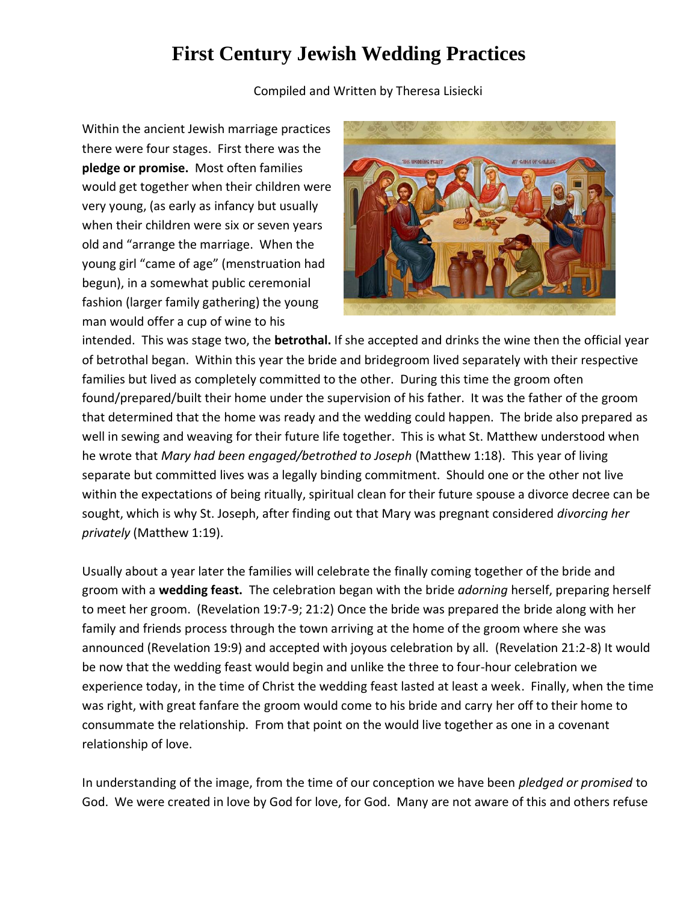## **First Century Jewish Wedding Practices**

Compiled and Written by Theresa Lisiecki

Within the ancient Jewish marriage practices there were four stages. First there was the **pledge or promise.** Most often families would get together when their children were very young, (as early as infancy but usually when their children were six or seven years old and "arrange the marriage. When the young girl "came of age" (menstruation had begun), in a somewhat public ceremonial fashion (larger family gathering) the young man would offer a cup of wine to his



intended. This was stage two, the **betrothal.** If she accepted and drinks the wine then the official year of betrothal began. Within this year the bride and bridegroom lived separately with their respective families but lived as completely committed to the other. During this time the groom often found/prepared/built their home under the supervision of his father. It was the father of the groom that determined that the home was ready and the wedding could happen. The bride also prepared as well in sewing and weaving for their future life together. This is what St. Matthew understood when he wrote that *Mary had been engaged/betrothed to Joseph* (Matthew 1:18). This year of living separate but committed lives was a legally binding commitment. Should one or the other not live within the expectations of being ritually, spiritual clean for their future spouse a divorce decree can be sought, which is why St. Joseph, after finding out that Mary was pregnant considered *divorcing her privately* (Matthew 1:19).

Usually about a year later the families will celebrate the finally coming together of the bride and groom with a **wedding feast.** The celebration began with the bride *adorning* herself, preparing herself to meet her groom. (Revelation 19:7-9; 21:2) Once the bride was prepared the bride along with her family and friends process through the town arriving at the home of the groom where she was announced (Revelation 19:9) and accepted with joyous celebration by all. (Revelation 21:2-8) It would be now that the wedding feast would begin and unlike the three to four-hour celebration we experience today, in the time of Christ the wedding feast lasted at least a week. Finally, when the time was right, with great fanfare the groom would come to his bride and carry her off to their home to consummate the relationship. From that point on the would live together as one in a covenant relationship of love.

In understanding of the image, from the time of our conception we have been *pledged or promised* to God. We were created in love by God for love, for God. Many are not aware of this and others refuse